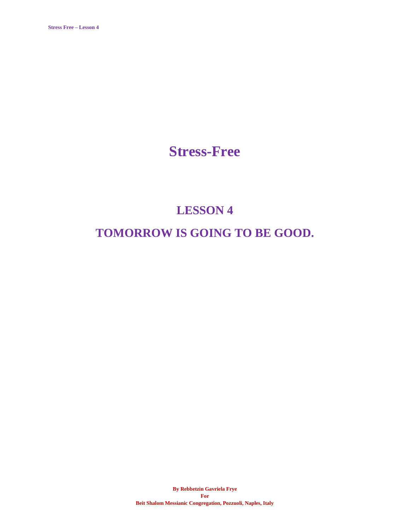### **Stress-Free**

# **LESSON 4 TOMORROW IS GOING TO BE GOOD.**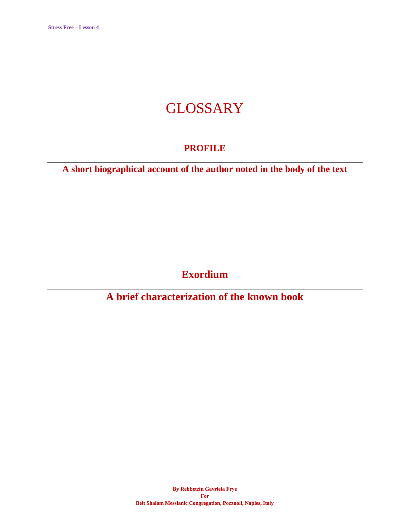## **GLOSSARY**

### **PROFILE**

**A short biographical account of the author noted in the body of the text**

**Exordium**

**A brief characterization of the known book**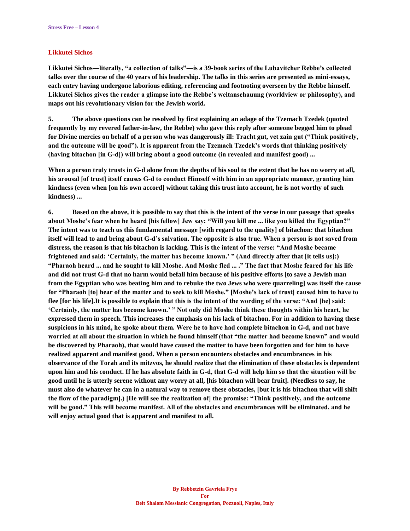#### **Likkutei Sichos**

**Likkutei Sichos—literally, "a collection of talks"—is a 39-book series of the Lubavitcher Rebbe's collected talks over the course of the 40 years of his leadership. The talks in this series are presented as mini-essays, each entry having undergone laborious editing, referencing and footnoting overseen by the Rebbe himself. Likkutei Sichos gives the reader a glimpse into the Rebbe's weltanschauung (worldview or philosophy), and maps out his revolutionary vision for the Jewish world.**

**5. The above questions can be resolved by first explaining an adage of the Tzemach Tzedek (quoted frequently by my revered father-in-law, the Rebbe) who gave this reply after someone begged him to plead for Divine mercies on behalf of a person who was dangerously ill: Tracht gut, vet zain gut ("Think positively, and the outcome will be good"). It is apparent from the Tzemach Tzedek's words that thinking positively (having bitachon [in G‑d]) will bring about a good outcome (in revealed and manifest good) ...**

When a person truly trusts in G-d alone from the depths of his soul to the extent that he has no worry at all, **his arousal [of trust] itself causes G‑d to conduct Himself with him in an appropriate manner, granting him kindness (even when [on his own accord] without taking this trust into account, he is not worthy of such kindness) ...**

**6. Based on the above, it is possible to say that this is the intent of the verse in our passage that speaks about Moshe's fear when he heard [his fellow] Jew say: "Will you kill me ... like you killed the Egyptian?" The intent was to teach us this fundamental message [with regard to the quality] of bitachon: that bitachon itself will lead to and bring about G‑d's salvation. The opposite is also true. When a person is not saved from distress, the reason is that his bitachon is lacking. This is the intent of the verse: "And Moshe became frightened and said: 'Certainly, the matter has become known.' " (And directly after that [it tells us]:) "Pharaoh heard ... and he sought to kill Moshe. And Moshe fled ... ." The fact that Moshe feared for his life and did not trust G‑d that no harm would befall him because of his positive efforts [to save a Jewish man from the Egyptian who was beating him and to rebuke the two Jews who were quarreling] was itself the cause for "Pharaoh [to] hear of the matter and to seek to kill Moshe." [Moshe's lack of trust] caused him to have to flee [for his life].It is possible to explain that this is the intent of the wording of the verse: "And [he] said: 'Certainly, the matter has become known.' " Not only did Moshe think these thoughts within his heart, he expressed them in speech. This increases the emphasis on his lack of bitachon. For in addition to having these suspicions in his mind, he spoke about them. Were he to have had complete bitachon in G‑d, and not have worried at all about the situation in which he found himself (that "the matter had become known" and would be discovered by Pharaoh), that would have caused the matter to have been forgotten and for him to have realized apparent and manifest good. When a person encounters obstacles and encumbrances in his observance of the Torah and its mitzvos, he should realize that the elimination of these obstacles is dependent upon him and his conduct. If he has absolute faith in G‑d, that G‑d will help him so that the situation will be good until he is utterly serene without any worry at all, [his bitachon will bear fruit]. (Needless to say, he must also do whatever he can in a natural way to remove these obstacles, [but it is his bitachon that will shift the flow of the paradigm].) [He will see the realization of] the promise: "Think positively, and the outcome will be good." This will become manifest. All of the obstacles and encumbrances will be eliminated, and he will enjoy actual good that is apparent and manifest to all.**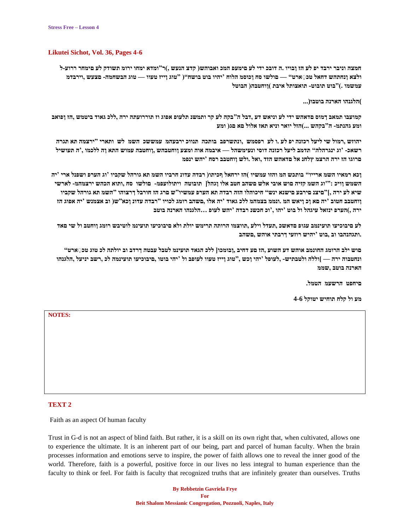#### **Likutei Sichot, Vol. 36, Pages 4-6**

**חמצה וניבר ירבד יפ לע הז ןבויו .ה דובכ ידי לע םימעפ המכ ואבוהש) קדצ הנעש ,(ר"ומדא ימחו ירומ תשודק לע םימחר ררועל ולצא ןנחתהש דחאל טכ ַ ארט" — םולשו סח ןכוסמ הלוח 'יהיו בוט בושח") "טוג ןייז טעוו — טוג הבשחמה םצעש ,וירבדמ עמשמו .("בוט תובוט תואצותל איבת (ןוחטבה) הבוטל**

**)הלגנהו הארנה בוטבו(...**

**קמועבו תמאב ךמוס םדאהש ידי לע וניאש דע ,דבל ה"בקה לע קר ותמשנ תלעופ אפוג וז תוררועתה ירה ,ללכ גאוד ביטמש ,הז ןפואב ומע גהנתמ ה"בקהש ...(הזל יואר וניא תאז אלול םא םג) ומע**

**יהוזש ,רמול שי ליעל רכזנה יפ לע .ו לע רפסמש ,ונתשרפב בותכה תנווכ ירבעהמ עמששכ השמ לש ותארי "ירצמה תא תגרה רשאכ 'וג ינגרהלה" תדמב ליעל רכזנה דוסי ונעימשהל — איבמה אוה ומצע ןוחטבהש ,ןוחטבה עמוש התא ןה ללכמו ,'ה תעושיל םרוגו הז ירה הרצמ ץלחנ אל םדאהש הזד ,ואל .ולש ןוחטבב רסח 'יהש ינפמ**

**ןכא רמאיו השמ ארייו" בותכש המ והזו עמשיו (הז ירחאל ףכיתו) רבדה עדונ חרביו השמ תא גורהל שקביו 'וג הערפ ושפנל ארי 'יה השמש ןויכ :"'וג השמ קזיה םוש אובי אלש םשהב חטב אלו ןגהל] תובוטה ויתולועפמ םולשו סח ,ותוא הכהש ירצמהמ לארשי שיא לע ירה ,["םיצנ םירבע םישנא ינש" חיכוהלו הזה רבדה תא הערפ עמשיו"ש םרג הז חורבל ךרצוהו "השמ תא גורהל שקביו ןוחטבב חטוב 'יה םא ןכ ןיאש המ .ונממ בצמהמ ללכ גאוד 'יה אלו ,םשהב רומג לכויו "רבדה עדונ ןכא"ש) וב אצמנש 'יה אפוג הז ירה ,(הערפ ינזאל עיגהל ול בוט 'יהו ,'וכ חכשנ רבדה 'יהש לעופ ...הלגנהו הארנה בוטב**

**לע םיבוכיעו תועינמב עגופ םדאשכ ,תעדל וילע ,תווצמו הרותה תרימש יולת ולא םיבוכיעו תועינמ לוטיבש רומג ןוחטב ול שי םאד .ותגהנהבו וב ,בוט 'יהיש רוזעי ךרבתי אוהש ,םשהב**

**םוש ילב הרומג החונמב אוהש דע השוע ,הז םע דחיב ,ןבומכו] ללכ הגאד תועינמ לטבל עבטה ךרדב וב יולתה לכ טוג טכ ַ ארט" ונחטבוה ירה — [וללה ולטבתיש ,לעופל 'יהי ןכש ,"טוג ןייז טעוו לעופב ול 'יהי בוטו ,םיבוכיעו תועינמה לכ ,רשב יניעל ,הלגנהו הארנה בוטב ,שממ**

**םיחפט הרשעמ הטמל.**

**מע ול קלח תוחיש יטוקל 4-6**

**NOTES:**

#### **TEXT 2**

Faith as an aspect Of human faculty

Trust in G-d is not an aspect of blind faith. But rather, it is a skill on its own right that, when cultivated, allows one to experience the ultimate. It is an inherent part of our being, part and parcel of human faculty. When the brain processes information and emotions serve to inspire, the power of faith allows one to reveal the inner good of the world. Therefore, faith is a powerful, positive force in our lives no less integral to human experience than the faculty to think or feel. For faith is faculty that recognized truths that are infinitely greater than ourselves. Truths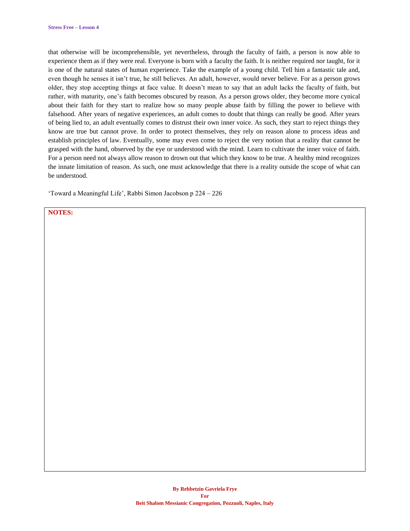that otherwise will be incomprehensible, yet nevertheless, through the faculty of faith, a person is now able to experience them as if they were real. Everyone is born with a faculty the faith. It is neither required nor taught, for it is one of the natural states of human experience. Take the example of a young child. Tell him a fantastic tale and, even though he senses it isn't true, he still believes. An adult, however, would never believe. For as a person grows older, they stop accepting things at face value. It doesn't mean to say that an adult lacks the faculty of faith, but rather, with maturity, one's faith becomes obscured by reason. As a person grows older, they become more cynical about their faith for they start to realize how so many people abuse faith by filling the power to believe with falsehood. After years of negative experiences, an adult comes to doubt that things can really be good. After years of being lied to, an adult eventually comes to distrust their own inner voice. As such, they start to reject things they know are true but cannot prove. In order to protect themselves, they rely on reason alone to process ideas and establish principles of law. Eventually, some may even come to reject the very notion that a reality that cannot be grasped with the hand, observed by the eye or understood with the mind. Learn to cultivate the inner voice of faith. For a person need not always allow reason to drown out that which they know to be true. A healthy mind recognizes the innate limitation of reason. As such, one must acknowledge that there is a reality outside the scope of what can be understood.

'Toward a Meaningful Life', Rabbi Simon Jacobson p 224 – 226

#### **NOTES:**